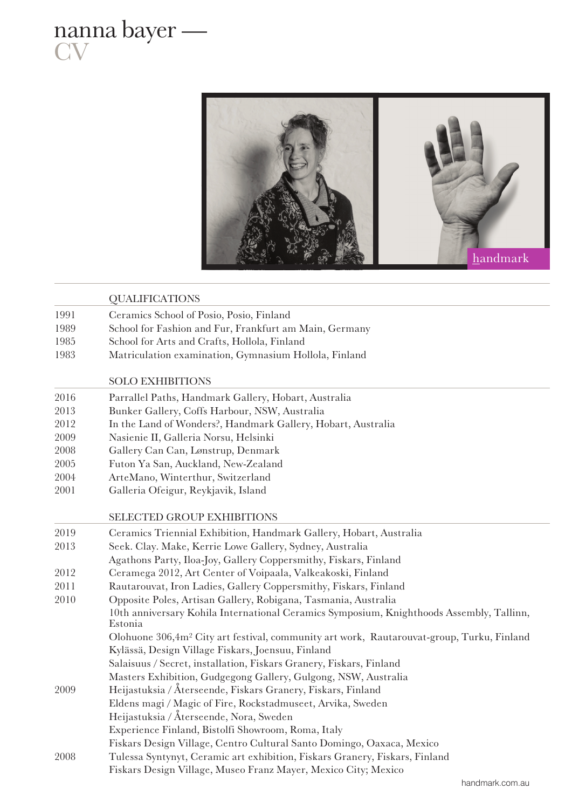



|      | <b>QUALIFICATIONS</b>                                                                                 |  |  |  |
|------|-------------------------------------------------------------------------------------------------------|--|--|--|
| 1991 | Ceramics School of Posio, Posio, Finland                                                              |  |  |  |
| 1989 | School for Fashion and Fur, Frankfurt am Main, Germany                                                |  |  |  |
| 1985 | School for Arts and Crafts, Hollola, Finland                                                          |  |  |  |
| 1983 | Matriculation examination, Gymnasium Hollola, Finland                                                 |  |  |  |
|      | <b>SOLO EXHIBITIONS</b>                                                                               |  |  |  |
| 2016 | Parrallel Paths, Handmark Gallery, Hobart, Australia                                                  |  |  |  |
| 2013 | Bunker Gallery, Coffs Harbour, NSW, Australia                                                         |  |  |  |
| 2012 | In the Land of Wonders?, Handmark Gallery, Hobart, Australia                                          |  |  |  |
| 2009 | Nasienie II, Galleria Norsu, Helsinki                                                                 |  |  |  |
| 2008 | Gallery Can Can, Lønstrup, Denmark                                                                    |  |  |  |
| 2005 | Futon Ya San, Auckland, New-Zealand                                                                   |  |  |  |
| 2004 | ArteMano, Winterthur, Switzerland                                                                     |  |  |  |
| 2001 | Galleria Ofeigur, Reykjavik, Island                                                                   |  |  |  |
|      | SELECTED GROUP EXHIBITIONS                                                                            |  |  |  |
| 2019 | Ceramics Triennial Exhibition, Handmark Gallery, Hobart, Australia                                    |  |  |  |
| 2013 | Seek. Clay. Make, Kerrie Lowe Gallery, Sydney, Australia                                              |  |  |  |
|      | Agathons Party, Iloa-Joy, Gallery Coppersmithy, Fiskars, Finland                                      |  |  |  |
| 2012 | Ceramega 2012, Art Center of Voipaala, Valkeakoski, Finland                                           |  |  |  |
| 2011 | Rautarouvat, Iron Ladies, Gallery Coppersmithy, Fiskars, Finland                                      |  |  |  |
| 2010 | Opposite Poles, Artisan Gallery, Robigana, Tasmania, Australia                                        |  |  |  |
|      | 10th anniversary Kohila International Ceramics Symposium, Knighthoods Assembly, Tallinn,<br>Estonia   |  |  |  |
|      | Olohuone 306,4m <sup>2</sup> City art festival, community art work, Rautarouvat-group, Turku, Finland |  |  |  |
|      | Kylässä, Design Village Fiskars, Joensuu, Finland                                                     |  |  |  |
|      | Salaisuus / Secret, installation, Fiskars Granery, Fiskars, Finland                                   |  |  |  |
|      | Masters Exhibition, Gudgegong Gallery, Gulgong, NSW, Australia                                        |  |  |  |
| 2009 | Heijastuksia / Återseende, Fiskars Granery, Fiskars, Finland                                          |  |  |  |
|      | Eldens magi / Magic of Fire, Rockstadmuseet, Arvika, Sweden                                           |  |  |  |
|      | Heijastuksia / Återseende, Nora, Sweden                                                               |  |  |  |
|      | Experience Finland, Bistolfi Showroom, Roma, Italy                                                    |  |  |  |
|      | Fiskars Design Village, Centro Cultural Santo Domingo, Oaxaca, Mexico                                 |  |  |  |
| 2008 | Tulessa Syntynyt, Ceramic art exhibition, Fiskars Granery, Fiskars, Finland                           |  |  |  |
|      | Fiskars Design Village, Museo Franz Mayer, Mexico City; Mexico                                        |  |  |  |
|      | handmark.com.au                                                                                       |  |  |  |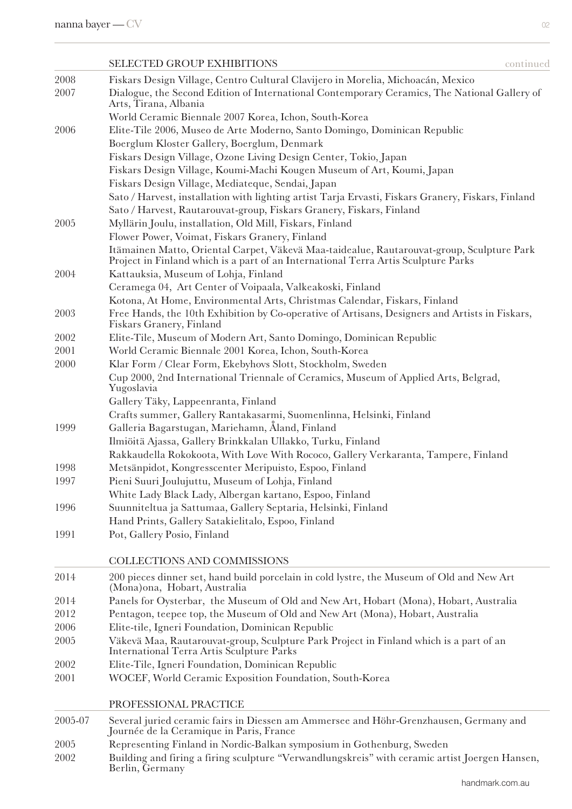| ٠ |   | ٠  |         |
|---|---|----|---------|
|   |   | P. |         |
|   |   |    |         |
|   |   |    | ۰,<br>٠ |
|   |   |    |         |
| × | I |    |         |
|   |   |    |         |
|   |   |    |         |
|   |   |    |         |
|   |   |    |         |
|   |   |    |         |

|         | <b>SELECTED GROUP EXHIBITIONS</b>                                                                                                          | continued |
|---------|--------------------------------------------------------------------------------------------------------------------------------------------|-----------|
| 2008    | Fiskars Design Village, Centro Cultural Clavijero in Morelia, Michoacán, Mexico                                                            |           |
| 2007    | Dialogue, the Second Edition of International Contemporary Ceramics, The National Gallery of<br>Arts, Tirana, Albania                      |           |
|         | World Ceramic Biennale 2007 Korea, Ichon, South-Korea                                                                                      |           |
| 2006    | Elite-Tile 2006, Museo de Arte Moderno, Santo Domingo, Dominican Republic                                                                  |           |
|         | Boerglum Kloster Gallery, Boerglum, Denmark                                                                                                |           |
|         | Fiskars Design Village, Ozone Living Design Center, Tokio, Japan                                                                           |           |
|         | Fiskars Design Village, Koumi-Machi Kougen Museum of Art, Koumi, Japan                                                                     |           |
|         | Fiskars Design Village, Mediateque, Sendai, Japan                                                                                          |           |
|         | Sato / Harvest, installation with lighting artist Tarja Ervasti, Fiskars Granery, Fiskars, Finland                                         |           |
| 2005    | Sato / Harvest, Rautarouvat-group, Fiskars Granery, Fiskars, Finland                                                                       |           |
|         | Myllärin Joulu, installation, Old Mill, Fiskars, Finland<br>Flower Power, Voimat, Fiskars Granery, Finland                                 |           |
|         | Itämainen Matto, Oriental Carpet, Väkevä Maa-taidealue, Rautarouvat-group, Sculpture Park                                                  |           |
|         | Project in Finland which is a part of an International Terra Artis Sculpture Parks                                                         |           |
| 2004    | Kattauksia, Museum of Lohja, Finland<br>Ceramega 04, Art Center of Voipaala, Valkeakoski, Finland                                          |           |
|         | Kotona, At Home, Environmental Arts, Christmas Calendar, Fiskars, Finland                                                                  |           |
| 2003    | Free Hands, the 10th Exhibition by Co-operative of Artisans, Designers and Artists in Fiskars,<br>Fiskars Granery, Finland                 |           |
| 2002    | Elite-Tile, Museum of Modern Art, Santo Domingo, Dominican Republic                                                                        |           |
| 2001    | World Ceramic Biennale 2001 Korea, Ichon, South-Korea                                                                                      |           |
| 2000    | Klar Form / Clear Form, Ekebyhovs Slott, Stockholm, Sweden                                                                                 |           |
|         | Cup 2000, 2nd International Triennale of Ceramics, Museum of Applied Arts, Belgrad,<br>Yugoslavia                                          |           |
|         | Gallery Täky, Lappeenranta, Finland                                                                                                        |           |
|         | Crafts summer, Gallery Rantakasarmi, Suomenlinna, Helsinki, Finland                                                                        |           |
| 1999    | Galleria Bagarstugan, Mariehamn, Åland, Finland                                                                                            |           |
|         | Ilmiöitä Ajassa, Gallery Brinkkalan Ullakko, Turku, Finland                                                                                |           |
|         | Rakkaudella Rokokoota, With Love With Rococo, Gallery Verkaranta, Tampere, Finland                                                         |           |
| 1998    | Metsänpidot, Kongresscenter Meripuisto, Espoo, Finland                                                                                     |           |
| 1997    | Pieni Suuri Joulujuttu, Museum of Lohja, Finland                                                                                           |           |
| 1996    | White Lady Black Lady, Albergan kartano, Espoo, Finland<br>Suunniteltua ja Sattumaa, Gallery Septaria, Helsinki, Finland                   |           |
|         | Hand Prints, Gallery Satakielitalo, Espoo, Finland                                                                                         |           |
| 1991    | Pot, Gallery Posio, Finland                                                                                                                |           |
|         | <b>COLLECTIONS AND COMMISSIONS</b>                                                                                                         |           |
| 2014    | 200 pieces dinner set, hand build porcelain in cold lystre, the Museum of Old and New Art<br>(Mona)ona, Hobart, Australia                  |           |
| 2014    | Panels for Oysterbar, the Museum of Old and New Art, Hobart (Mona), Hobart, Australia                                                      |           |
| 2012    | Pentagon, teepee top, the Museum of Old and New Art (Mona), Hobart, Australia                                                              |           |
| 2006    | Elite-tile, Igneri Foundation, Dominican Republic                                                                                          |           |
| 2005    | Väkevä Maa, Rautarouvat-group, Sculpture Park Project in Finland which is a part of an<br><b>International Terra Artis Sculpture Parks</b> |           |
| 2002    | Elite-Tile, Igneri Foundation, Dominican Republic                                                                                          |           |
| 2001    | WOCEF, World Ceramic Exposition Foundation, South-Korea                                                                                    |           |
|         | PROFESSIONAL PRACTICE                                                                                                                      |           |
| 2005-07 | Several juried ceramic fairs in Diessen am Ammersee and Höhr-Grenzhausen, Germany and<br>Journée de la Ceramique in Paris, France          |           |
| 2005    | Representing Finland in Nordic-Balkan symposium in Gothenburg, Sweden                                                                      |           |
| 2002    | Building and firing a firing sculpture "Verwandlungskreis" with ceramic artist Joergen Hansen,<br>Berlin, Germany                          |           |